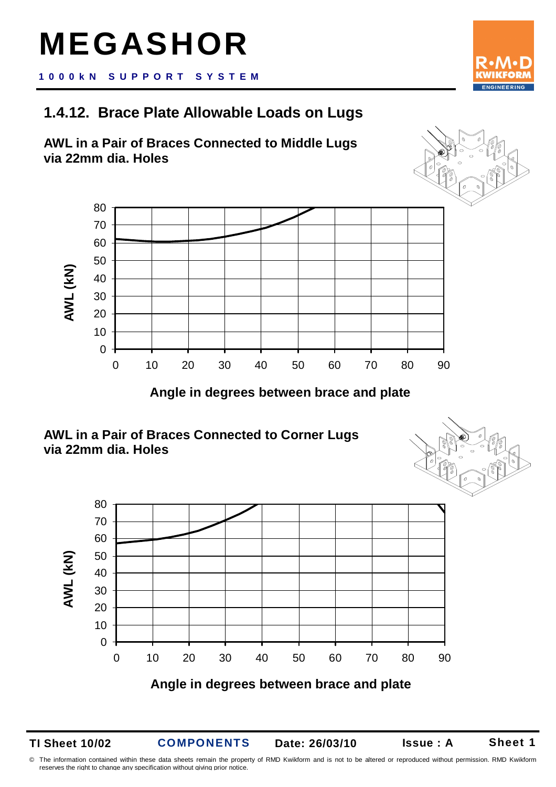## **MEGASHOR**

**1000kN S U P P O R T S Y S T E M**

## **1.4.12. Brace Plate Allowable Loads on Lugs**





**Angle in degrees between brace and plate** 





**TI Sheet 10/02** 

**COMPONENTS** 

**Date: 26/03/10 Issue : A** 

© The information contained within these data sheets remain the property of RMD Kwikform and is not to be altered or reproduced without permission. RMD Kwikform reserves the right to change any specification without giving prior notice.